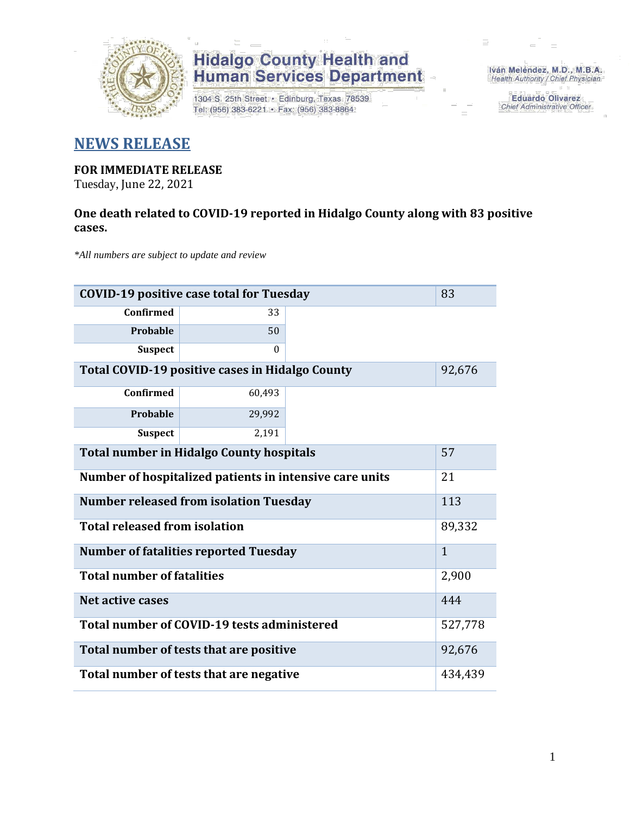

# **Hidalgo County Health and<br>Human Services Department**

1304 S. 25th Street · Edinburg, Texas 78539 Tel: (956) 383-6221 · Fax: (956) 383-8864

Iván Meléndez, M.D., M.B.A. Health Authority / Chief Physician

> **Eduardo Olivarez** Chief Administrative Officer

### **NEWS RELEASE**

### **FOR IMMEDIATE RELEASE**

Tuesday, June 22, 2021

### **One death related to COVID-19 reported in Hidalgo County along with 83 positive cases.**

*\*All numbers are subject to update and review*

| 83<br><b>COVID-19 positive case total for Tuesday</b>   |          |        |  |  |  |
|---------------------------------------------------------|----------|--------|--|--|--|
| <b>Confirmed</b>                                        | 33       |        |  |  |  |
| Probable                                                | 50       |        |  |  |  |
| <b>Suspect</b>                                          | $\Omega$ |        |  |  |  |
| Total COVID-19 positive cases in Hidalgo County         |          | 92,676 |  |  |  |
| <b>Confirmed</b>                                        | 60,493   |        |  |  |  |
| Probable                                                | 29,992   |        |  |  |  |
| <b>Suspect</b>                                          | 2,191    |        |  |  |  |
| <b>Total number in Hidalgo County hospitals</b>         | 57       |        |  |  |  |
| Number of hospitalized patients in intensive care units |          |        |  |  |  |
| <b>Number released from isolation Tuesday</b>           |          |        |  |  |  |
| <b>Total released from isolation</b>                    |          |        |  |  |  |
| <b>Number of fatalities reported Tuesday</b>            |          |        |  |  |  |
| <b>Total number of fatalities</b>                       |          |        |  |  |  |
| Net active cases                                        | 444      |        |  |  |  |
| Total number of COVID-19 tests administered             | 527,778  |        |  |  |  |
| Total number of tests that are positive                 | 92,676   |        |  |  |  |
| Total number of tests that are negative                 |          |        |  |  |  |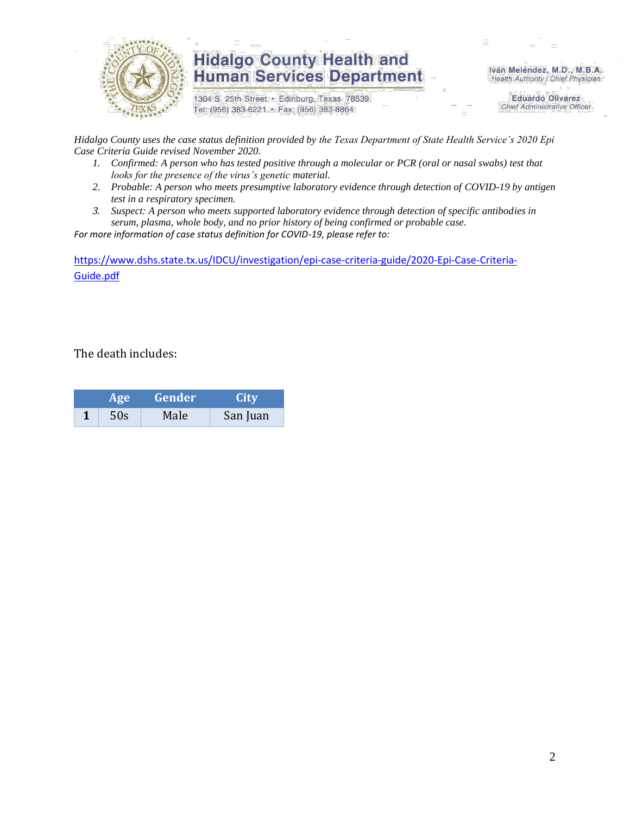

## **Hidalgo County Health and Human Services Department**

1304 S. 25th Street · Edinburg, Texas 78539 Tel: (956) 383-6221 · Fax: (956) 383-8864

Iván Meléndez, M.D., M.B.A. Health Authority / Chief Physician

> **Eduardo Olivarez Chief Administrative Officer**

*Hidalgo County uses the case status definition provided by the Texas Department of State Health Service's 2020 Epi Case Criteria Guide revised November 2020.*

- *1. Confirmed: A person who has tested positive through a molecular or PCR (oral or nasal swabs) test that looks for the presence of the virus's genetic material.*
- *2. Probable: A person who meets presumptive laboratory evidence through detection of COVID-19 by antigen test in a respiratory specimen.*
- *3. Suspect: A person who meets supported laboratory evidence through detection of specific antibodies in serum, plasma, whole body, and no prior history of being confirmed or probable case.*

*For more information of case status definition for COVID-19, please refer to:*

[https://www.dshs.state.tx.us/IDCU/investigation/epi-case-criteria-guide/2020-Epi-Case-Criteria-](https://www.dshs.state.tx.us/IDCU/investigation/epi-case-criteria-guide/2020-Epi-Case-Criteria-Guide.pdf)[Guide.pdf](https://www.dshs.state.tx.us/IDCU/investigation/epi-case-criteria-guide/2020-Epi-Case-Criteria-Guide.pdf)

The death includes:

| Age <b>b</b> |     | Gender | <b>City</b> |  |  |
|--------------|-----|--------|-------------|--|--|
|              | 50s | Male   | San Juan    |  |  |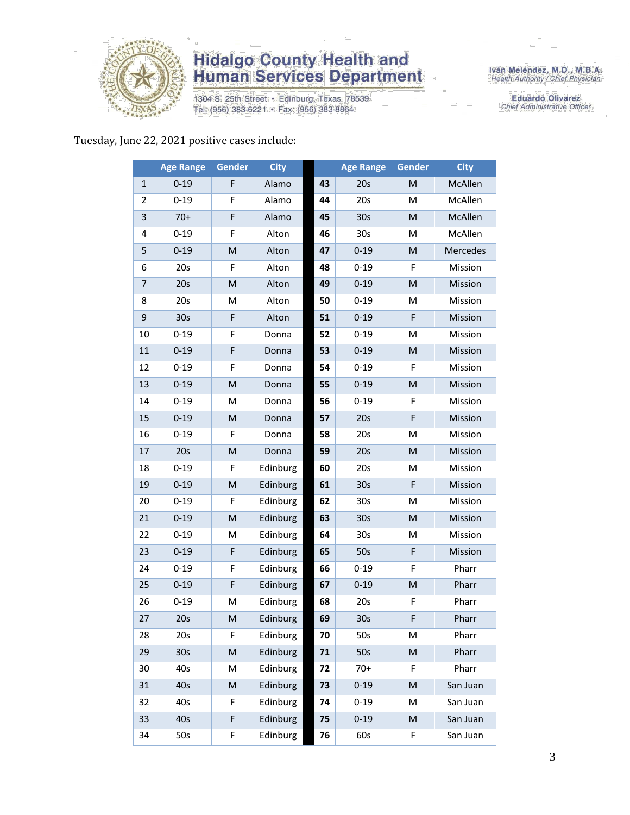

# **Hidalgo County Health and<br>Human Services Department**

1304 S. 25th Street · Edinburg, Texas 78539 Tel: (956) 383-6221 · Fax: (956) 383-8864

Iván Meléndez, M.D., M.B.A.<br>Health Authority / Chief Physician

**Eduardo Olivarez** Chief Administrative Officer

#### Tuesday, June 22, 2021 positive cases include:

|              | <b>Age Range</b> | Gender                                                                                                     | <b>City</b> |    | <b>Age Range</b> | Gender                                                                                                     | <b>City</b> |
|--------------|------------------|------------------------------------------------------------------------------------------------------------|-------------|----|------------------|------------------------------------------------------------------------------------------------------------|-------------|
| $\mathbf{1}$ | $0 - 19$         | F                                                                                                          | Alamo       | 43 | 20s              | M                                                                                                          | McAllen     |
| 2            | $0 - 19$         | F                                                                                                          | Alamo       | 44 | 20s              | M                                                                                                          | McAllen     |
| 3            | $70+$            | F                                                                                                          | Alamo       | 45 | 30 <sub>s</sub>  | M                                                                                                          | McAllen     |
| 4            | $0 - 19$         | F                                                                                                          | Alton       | 46 | 30 <sub>s</sub>  | M                                                                                                          | McAllen     |
| 5            | $0 - 19$         | $\mathsf{M}% _{T}=\mathsf{M}_{T}\!\left( a,b\right) ,\ \mathsf{M}_{T}=\mathsf{M}_{T}\!\left( a,b\right) ,$ | Alton       | 47 | $0 - 19$         | M                                                                                                          | Mercedes    |
| 6            | 20s              | F                                                                                                          | Alton       | 48 | $0 - 19$         | F                                                                                                          | Mission     |
| 7            | 20s              | M                                                                                                          | Alton       | 49 | $0 - 19$         | ${\sf M}$                                                                                                  | Mission     |
| 8            | 20s              | M                                                                                                          | Alton       | 50 | $0 - 19$         | М                                                                                                          | Mission     |
| 9            | 30s              | F                                                                                                          | Alton       | 51 | $0 - 19$         | F                                                                                                          | Mission     |
| 10           | $0 - 19$         | F                                                                                                          | Donna       | 52 | $0 - 19$         | M                                                                                                          | Mission     |
| 11           | $0 - 19$         | F                                                                                                          | Donna       | 53 | $0 - 19$         | M                                                                                                          | Mission     |
| 12           | $0 - 19$         | F                                                                                                          | Donna       | 54 | $0 - 19$         | F                                                                                                          | Mission     |
| 13           | $0 - 19$         | M                                                                                                          | Donna       | 55 | $0 - 19$         | M                                                                                                          | Mission     |
| 14           | $0 - 19$         | M                                                                                                          | Donna       | 56 | $0 - 19$         | F                                                                                                          | Mission     |
| 15           | $0 - 19$         | M                                                                                                          | Donna       | 57 | 20s              | $\mathsf F$                                                                                                | Mission     |
| 16           | $0 - 19$         | F                                                                                                          | Donna       | 58 | 20s              | M                                                                                                          | Mission     |
| 17           | 20s              | M                                                                                                          | Donna       | 59 | 20s              | M                                                                                                          | Mission     |
| 18           | $0 - 19$         | F                                                                                                          | Edinburg    | 60 | 20s              | М                                                                                                          | Mission     |
| 19           | $0 - 19$         | M                                                                                                          | Edinburg    | 61 | 30 <sub>s</sub>  | F                                                                                                          | Mission     |
| 20           | $0 - 19$         | F                                                                                                          | Edinburg    | 62 | 30 <sub>s</sub>  | M                                                                                                          | Mission     |
| 21           | $0 - 19$         | M                                                                                                          | Edinburg    | 63 | 30 <sub>s</sub>  | $\mathsf{M}% _{T}=\mathsf{M}_{T}\!\left( a,b\right) ,\ \mathsf{M}_{T}=\mathsf{M}_{T}\!\left( a,b\right) ,$ | Mission     |
| 22           | $0 - 19$         | M                                                                                                          | Edinburg    | 64 | 30 <sub>s</sub>  | M                                                                                                          | Mission     |
| 23           | $0 - 19$         | F                                                                                                          | Edinburg    | 65 | 50s              | $\mathsf F$                                                                                                | Mission     |
| 24           | $0 - 19$         | F                                                                                                          | Edinburg    | 66 | $0 - 19$         | F                                                                                                          | Pharr       |
| 25           | $0 - 19$         | F                                                                                                          | Edinburg    | 67 | $0 - 19$         | M                                                                                                          | Pharr       |
| 26           | $0 - 19$         | M                                                                                                          | Edinburg    | 68 | 20s              | $\mathsf F$                                                                                                | Pharr       |
| 27           | 20s              | M                                                                                                          | Edinburg    | 69 | 30s              | F                                                                                                          | Pharr       |
| 28           | 20s              | F                                                                                                          | Edinburg    | 70 | 50s              | М                                                                                                          | Pharr       |
| 29           | 30 <sub>s</sub>  | ${\sf M}$                                                                                                  | Edinburg    | 71 | 50s              | $\mathsf{M}% _{T}=\mathsf{M}_{T}\!\left( a,b\right) ,\ \mathsf{M}_{T}=\mathsf{M}_{T}\!\left( a,b\right) ,$ | Pharr       |
| 30           | 40s              | M                                                                                                          | Edinburg    | 72 | $70+$            | F                                                                                                          | Pharr       |
| 31           | 40s              | M                                                                                                          | Edinburg    | 73 | $0 - 19$         | $\mathsf{M}% _{T}=\mathsf{M}_{T}\!\left( a,b\right) ,\ \mathsf{M}_{T}=\mathsf{M}_{T}\!\left( a,b\right) ,$ | San Juan    |
| 32           | 40s              | F                                                                                                          | Edinburg    | 74 | $0 - 19$         | M                                                                                                          | San Juan    |
| 33           | 40s              | F                                                                                                          | Edinburg    | 75 | $0 - 19$         | $\mathsf{M}% _{T}=\mathsf{M}_{T}\!\left( a,b\right) ,\ \mathsf{M}_{T}=\mathsf{M}_{T}\!\left( a,b\right) ,$ | San Juan    |
| 34           | 50s              | F                                                                                                          | Edinburg    | 76 | 60s              | F                                                                                                          | San Juan    |